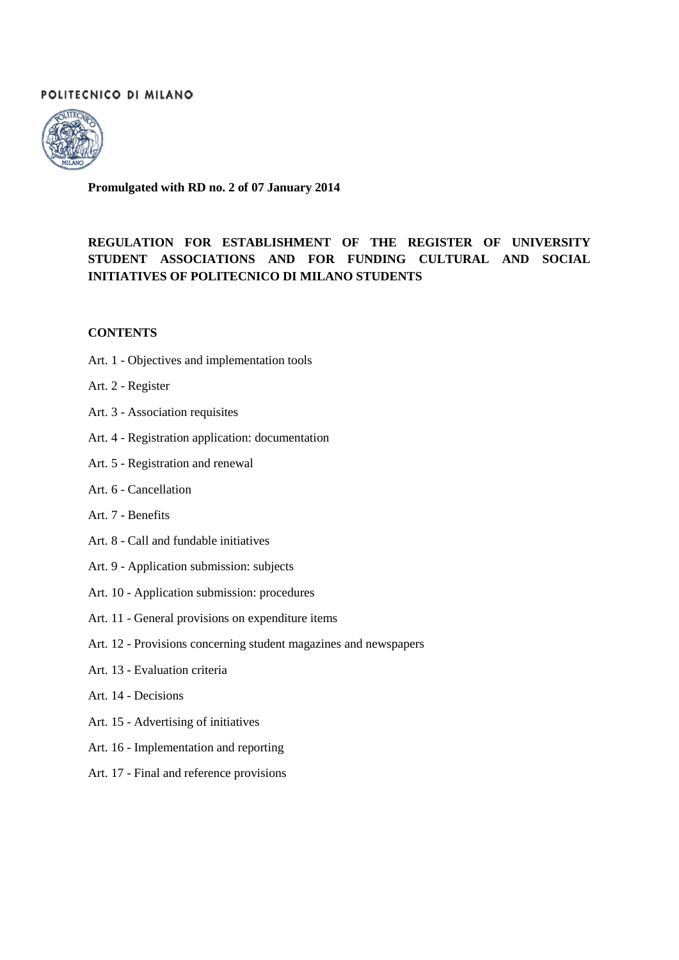# POLITECNICO DI MILANO



**Promulgated with RD no. 2 of 07 January 2014**

# **REGULATION FOR ESTABLISHMENT OF THE REGISTER OF UNIVERSITY STUDENT ASSOCIATIONS AND FOR FUNDING CULTURAL AND SOCIAL INITIATIVES OF POLITECNICO DI MILANO STUDENTS**

#### **CONTENTS**

- Art. 1 Objectives and implementation tools
- Art. 2 Register
- Art. 3 Association requisites
- Art. 4 Registration application: documentation
- Art. 5 Registration and renewal
- Art. 6 Cancellation
- Art. 7 Benefits
- Art. 8 Call and fundable initiatives
- Art. 9 Application submission: subjects
- Art. 10 Application submission: procedures
- Art. 11 General provisions on expenditure items
- Art. 12 Provisions concerning student magazines and newspapers
- Art. 13 Evaluation criteria
- Art. 14 Decisions
- Art. 15 Advertising of initiatives
- Art. 16 Implementation and reporting
- Art. 17 Final and reference provisions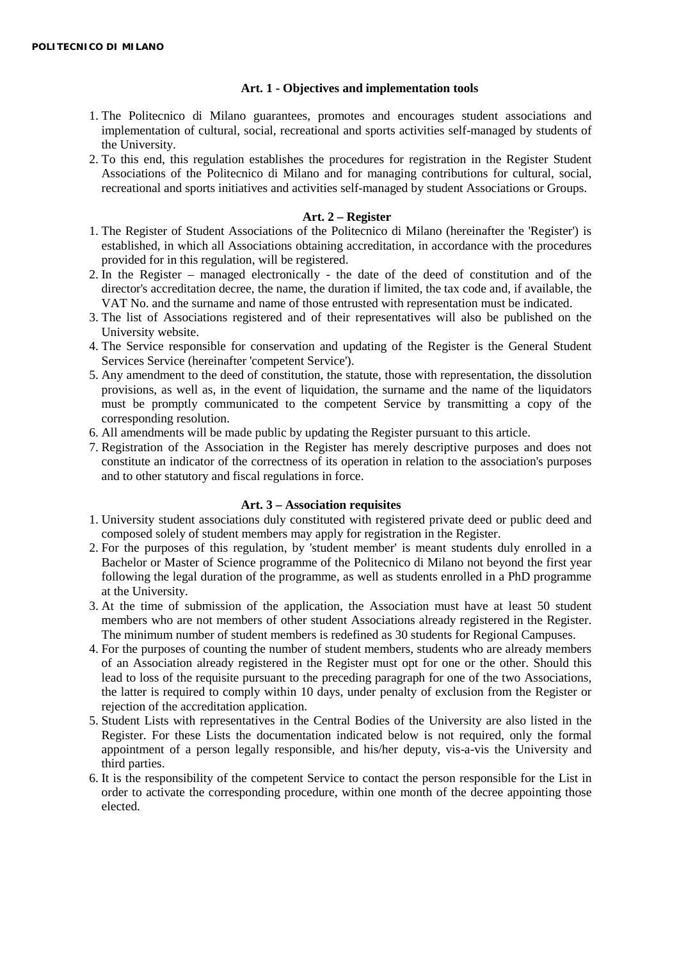#### **Art. 1 - Objectives and implementation tools**

- 1. The Politecnico di Milano guarantees, promotes and encourages student associations and implementation of cultural, social, recreational and sports activities self-managed by students of the University.
- 2. To this end, this regulation establishes the procedures for registration in the Register Student Associations of the Politecnico di Milano and for managing contributions for cultural, social, recreational and sports initiatives and activities self-managed by student Associations or Groups.

#### **Art. 2 – Register**

- 1. The Register of Student Associations of the Politecnico di Milano (hereinafter the 'Register') is established, in which all Associations obtaining accreditation, in accordance with the procedures provided for in this regulation, will be registered.
- 2. In the Register managed electronically the date of the deed of constitution and of the director's accreditation decree, the name, the duration if limited, the tax code and, if available, the VAT No. and the surname and name of those entrusted with representation must be indicated.
- 3. The list of Associations registered and of their representatives will also be published on the University website.
- 4. The Service responsible for conservation and updating of the Register is the General Student Services Service (hereinafter 'competent Service').
- 5. Any amendment to the deed of constitution, the statute, those with representation, the dissolution provisions, as well as, in the event of liquidation, the surname and the name of the liquidators must be promptly communicated to the competent Service by transmitting a copy of the corresponding resolution.
- 6. All amendments will be made public by updating the Register pursuant to this article.
- 7. Registration of the Association in the Register has merely descriptive purposes and does not constitute an indicator of the correctness of its operation in relation to the association's purposes and to other statutory and fiscal regulations in force.

#### **Art. 3 – Association requisites**

- 1. University student associations duly constituted with registered private deed or public deed and composed solely of student members may apply for registration in the Register.
- 2. For the purposes of this regulation, by 'student member' is meant students duly enrolled in a Bachelor or Master of Science programme of the Politecnico di Milano not beyond the first year following the legal duration of the programme, as well as students enrolled in a PhD programme at the University.
- 3. At the time of submission of the application, the Association must have at least 50 student members who are not members of other student Associations already registered in the Register. The minimum number of student members is redefined as 30 students for Regional Campuses.
- 4. For the purposes of counting the number of student members, students who are already members of an Association already registered in the Register must opt for one or the other. Should this lead to loss of the requisite pursuant to the preceding paragraph for one of the two Associations, the latter is required to comply within 10 days, under penalty of exclusion from the Register or rejection of the accreditation application.
- 5. Student Lists with representatives in the Central Bodies of the University are also listed in the Register. For these Lists the documentation indicated below is not required, only the formal appointment of a person legally responsible, and his/her deputy, vis-a-vis the University and third parties.
- 6. It is the responsibility of the competent Service to contact the person responsible for the List in order to activate the corresponding procedure, within one month of the decree appointing those elected.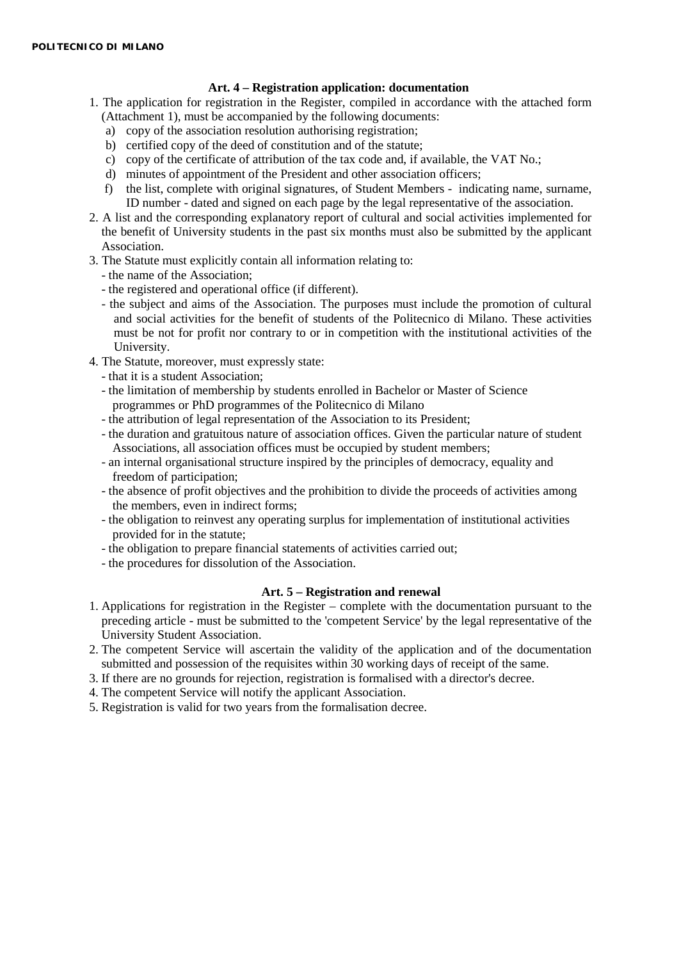## **Art. 4 – Registration application: documentation**

- 1. The application for registration in the Register, compiled in accordance with the attached form (Attachment 1), must be accompanied by the following documents:
	- a) copy of the association resolution authorising registration;
	- b) certified copy of the deed of constitution and of the statute;
	- c) copy of the certificate of attribution of the tax code and, if available, the VAT No.;
	- d) minutes of appointment of the President and other association officers;
	- f) the list, complete with original signatures, of Student Members indicating name, surname, ID number - dated and signed on each page by the legal representative of the association.
- 2. A list and the corresponding explanatory report of cultural and social activities implemented for the benefit of University students in the past six months must also be submitted by the applicant Association.
- 3. The Statute must explicitly contain all information relating to:
	- the name of the Association;
	- the registered and operational office (if different).
	- the subject and aims of the Association. The purposes must include the promotion of cultural and social activities for the benefit of students of the Politecnico di Milano. These activities must be not for profit nor contrary to or in competition with the institutional activities of the University.
- 4. The Statute, moreover, must expressly state:
	- that it is a student Association;
	- the limitation of membership by students enrolled in Bachelor or Master of Science programmes or PhD programmes of the Politecnico di Milano
	- the attribution of legal representation of the Association to its President;
	- the duration and gratuitous nature of association offices. Given the particular nature of student Associations, all association offices must be occupied by student members;
	- an internal organisational structure inspired by the principles of democracy, equality and freedom of participation;
	- the absence of profit objectives and the prohibition to divide the proceeds of activities among the members, even in indirect forms;
	- the obligation to reinvest any operating surplus for implementation of institutional activities provided for in the statute;
	- the obligation to prepare financial statements of activities carried out;
	- the procedures for dissolution of the Association.

### **Art. 5 – Registration and renewal**

- 1. Applications for registration in the Register complete with the documentation pursuant to the preceding article - must be submitted to the 'competent Service' by the legal representative of the University Student Association.
- 2. The competent Service will ascertain the validity of the application and of the documentation submitted and possession of the requisites within 30 working days of receipt of the same.
- 3. If there are no grounds for rejection, registration is formalised with a director's decree.
- 4. The competent Service will notify the applicant Association.
- 5. Registration is valid for two years from the formalisation decree.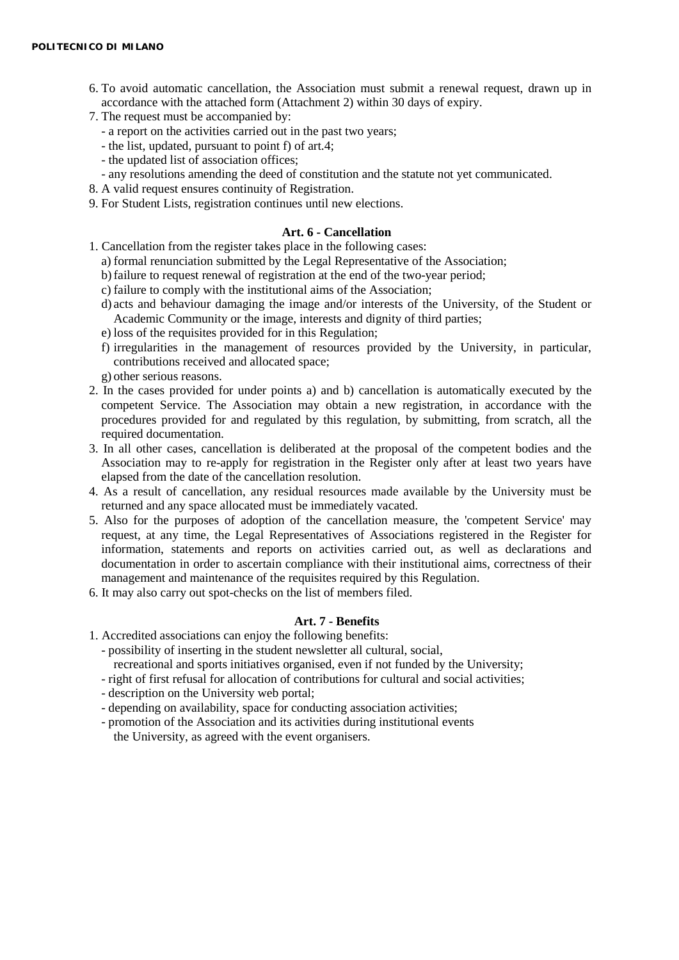- 6. To avoid automatic cancellation, the Association must submit a renewal request, drawn up in accordance with the attached form (Attachment 2) within 30 days of expiry.
- 7. The request must be accompanied by:
	- a report on the activities carried out in the past two years;
	- the list, updated, pursuant to point f) of art.4;
	- the updated list of association offices;
	- any resolutions amending the deed of constitution and the statute not yet communicated.
- 8. A valid request ensures continuity of Registration.
- 9. For Student Lists, registration continues until new elections.

#### **Art. 6 - Cancellation**

- 1. Cancellation from the register takes place in the following cases:
	- a) formal renunciation submitted by the Legal Representative of the Association;
	- b)failure to request renewal of registration at the end of the two-year period;
	- c) failure to comply with the institutional aims of the Association;
	- d) acts and behaviour damaging the image and/or interests of the University, of the Student or Academic Community or the image, interests and dignity of third parties;
	- e) loss of the requisites provided for in this Regulation;
	- f) irregularities in the management of resources provided by the University, in particular, contributions received and allocated space;
	- g) other serious reasons.
- 2. In the cases provided for under points a) and b) cancellation is automatically executed by the competent Service. The Association may obtain a new registration, in accordance with the procedures provided for and regulated by this regulation, by submitting, from scratch, all the required documentation.
- 3. In all other cases, cancellation is deliberated at the proposal of the competent bodies and the Association may to re-apply for registration in the Register only after at least two years have elapsed from the date of the cancellation resolution.
- 4. As a result of cancellation, any residual resources made available by the University must be returned and any space allocated must be immediately vacated.
- 5. Also for the purposes of adoption of the cancellation measure, the 'competent Service' may request, at any time, the Legal Representatives of Associations registered in the Register for information, statements and reports on activities carried out, as well as declarations and documentation in order to ascertain compliance with their institutional aims, correctness of their management and maintenance of the requisites required by this Regulation.
- 6. It may also carry out spot-checks on the list of members filed.

## **Art. 7 - Benefits**

- 1. Accredited associations can enjoy the following benefits:
	- possibility of inserting in the student newsletter all cultural, social,
		- recreational and sports initiatives organised, even if not funded by the University;
	- right of first refusal for allocation of contributions for cultural and social activities;
	- description on the University web portal;
	- depending on availability, space for conducting association activities;
	- promotion of the Association and its activities during institutional events the University, as agreed with the event organisers.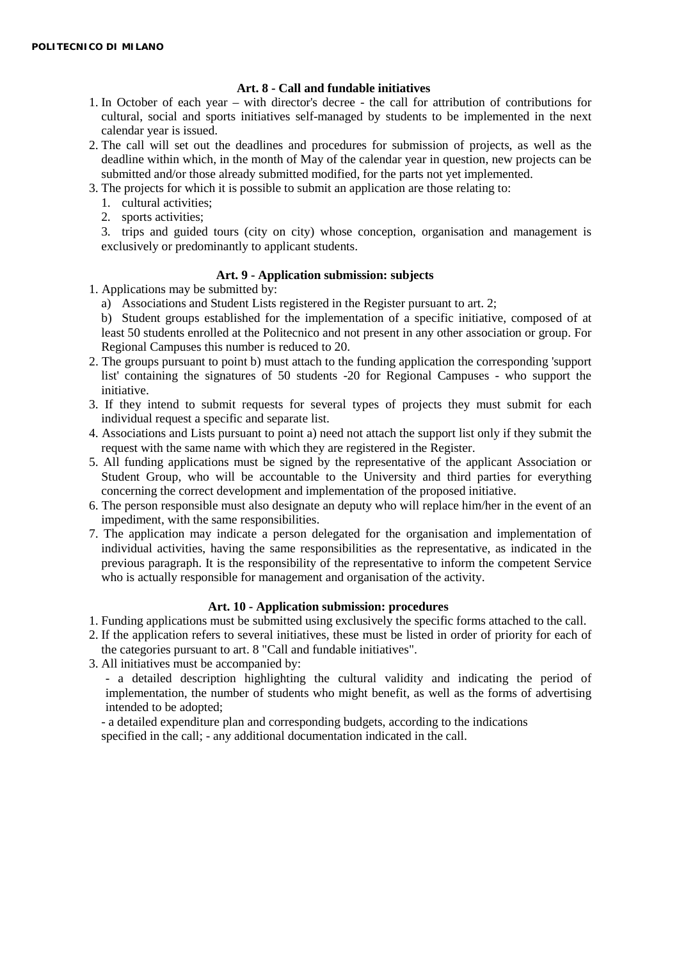### **Art. 8 - Call and fundable initiatives**

- 1. In October of each year with director's decree the call for attribution of contributions for cultural, social and sports initiatives self-managed by students to be implemented in the next calendar year is issued.
- 2. The call will set out the deadlines and procedures for submission of projects, as well as the deadline within which, in the month of May of the calendar year in question, new projects can be submitted and/or those already submitted modified, for the parts not yet implemented.
- 3. The projects for which it is possible to submit an application are those relating to:
	- 1. cultural activities;
	- 2. sports activities;

3. trips and guided tours (city on city) whose conception, organisation and management is exclusively or predominantly to applicant students.

### **Art. 9 - Application submission: subjects**

- 1. Applications may be submitted by:
	- a) Associations and Student Lists registered in the Register pursuant to art. 2;
	- b) Student groups established for the implementation of a specific initiative, composed of at least 50 students enrolled at the Politecnico and not present in any other association or group. For Regional Campuses this number is reduced to 20.
- 2. The groups pursuant to point b) must attach to the funding application the corresponding 'support list' containing the signatures of 50 students -20 for Regional Campuses - who support the initiative.
- 3. If they intend to submit requests for several types of projects they must submit for each individual request a specific and separate list.
- 4. Associations and Lists pursuant to point a) need not attach the support list only if they submit the request with the same name with which they are registered in the Register.
- 5. All funding applications must be signed by the representative of the applicant Association or Student Group, who will be accountable to the University and third parties for everything concerning the correct development and implementation of the proposed initiative.
- 6. The person responsible must also designate an deputy who will replace him/her in the event of an impediment, with the same responsibilities.
- 7. The application may indicate a person delegated for the organisation and implementation of individual activities, having the same responsibilities as the representative, as indicated in the previous paragraph. It is the responsibility of the representative to inform the competent Service who is actually responsible for management and organisation of the activity.

#### **Art. 10 - Application submission: procedures**

- 1. Funding applications must be submitted using exclusively the specific forms attached to the call.
- 2. If the application refers to several initiatives, these must be listed in order of priority for each of the categories pursuant to art. 8 "Call and fundable initiatives".
- 3. All initiatives must be accompanied by:

- a detailed description highlighting the cultural validity and indicating the period of implementation, the number of students who might benefit, as well as the forms of advertising intended to be adopted;

- a detailed expenditure plan and corresponding budgets, according to the indications specified in the call; - any additional documentation indicated in the call.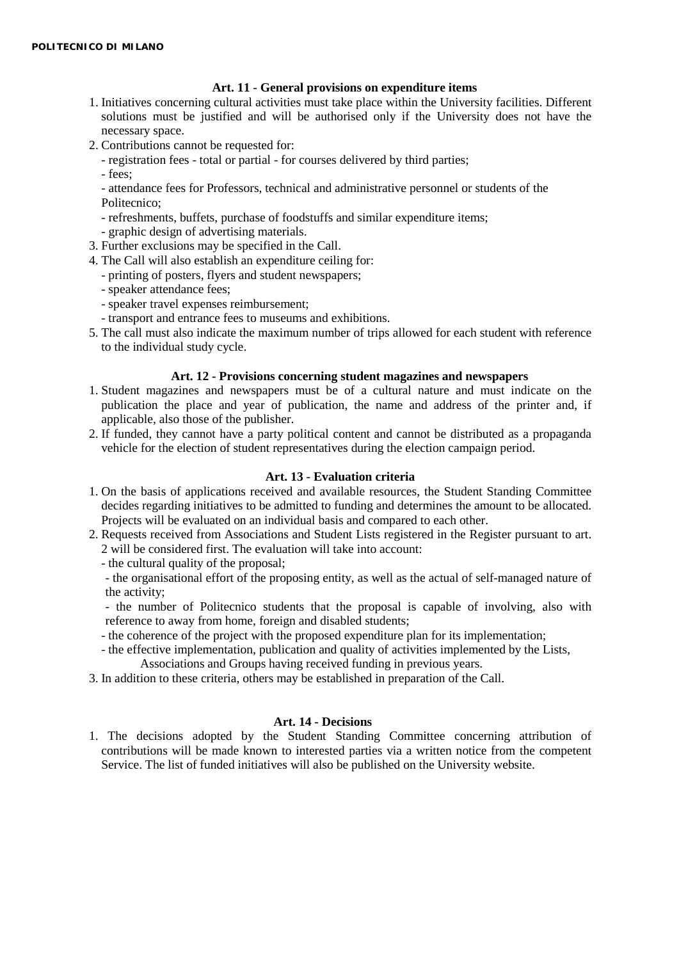### **Art. 11 - General provisions on expenditure items**

- 1. Initiatives concerning cultural activities must take place within the University facilities. Different solutions must be justified and will be authorised only if the University does not have the necessary space.
- 2. Contributions cannot be requested for:
	- registration fees total or partial for courses delivered by third parties;
	- fees;

- attendance fees for Professors, technical and administrative personnel or students of the Politecnico;

- refreshments, buffets, purchase of foodstuffs and similar expenditure items;
- graphic design of advertising materials.
- 3. Further exclusions may be specified in the Call.
- 4. The Call will also establish an expenditure ceiling for:
	- printing of posters, flyers and student newspapers;
	- speaker attendance fees;
	- speaker travel expenses reimbursement;
	- transport and entrance fees to museums and exhibitions.
- 5. The call must also indicate the maximum number of trips allowed for each student with reference to the individual study cycle.

#### **Art. 12 - Provisions concerning student magazines and newspapers**

- 1. Student magazines and newspapers must be of a cultural nature and must indicate on the publication the place and year of publication, the name and address of the printer and, if applicable, also those of the publisher.
- 2. If funded, they cannot have a party political content and cannot be distributed as a propaganda vehicle for the election of student representatives during the election campaign period.

#### **Art. 13 - Evaluation criteria**

- 1. On the basis of applications received and available resources, the Student Standing Committee decides regarding initiatives to be admitted to funding and determines the amount to be allocated. Projects will be evaluated on an individual basis and compared to each other.
- 2. Requests received from Associations and Student Lists registered in the Register pursuant to art. 2 will be considered first. The evaluation will take into account:
	- the cultural quality of the proposal;

- the organisational effort of the proposing entity, as well as the actual of self-managed nature of the activity;

- the number of Politecnico students that the proposal is capable of involving, also with reference to away from home, foreign and disabled students;

- the coherence of the project with the proposed expenditure plan for its implementation;
- the effective implementation, publication and quality of activities implemented by the Lists, Associations and Groups having received funding in previous years.
- 3. In addition to these criteria, others may be established in preparation of the Call.

### **Art. 14 - Decisions**

1. The decisions adopted by the Student Standing Committee concerning attribution of contributions will be made known to interested parties via a written notice from the competent Service. The list of funded initiatives will also be published on the University website.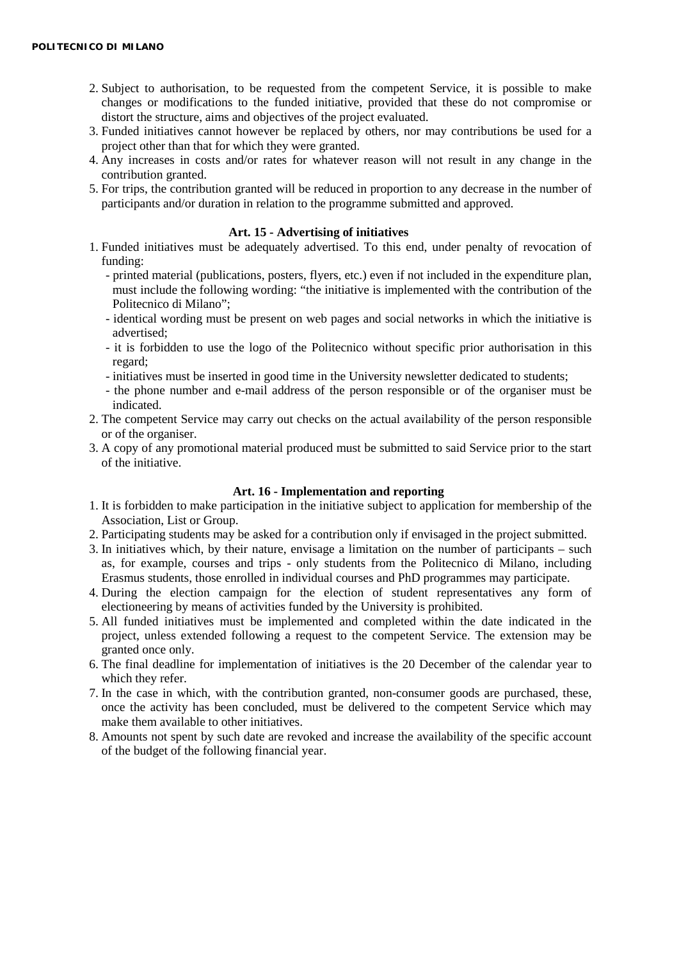- 2. Subject to authorisation, to be requested from the competent Service, it is possible to make changes or modifications to the funded initiative, provided that these do not compromise or distort the structure, aims and objectives of the project evaluated.
- 3. Funded initiatives cannot however be replaced by others, nor may contributions be used for a project other than that for which they were granted.
- 4. Any increases in costs and/or rates for whatever reason will not result in any change in the contribution granted.
- 5. For trips, the contribution granted will be reduced in proportion to any decrease in the number of participants and/or duration in relation to the programme submitted and approved.

#### **Art. 15 - Advertising of initiatives**

- 1. Funded initiatives must be adequately advertised. To this end, under penalty of revocation of funding:
	- printed material (publications, posters, flyers, etc.) even if not included in the expenditure plan, must include the following wording: "the initiative is implemented with the contribution of the Politecnico di Milano";
	- identical wording must be present on web pages and social networks in which the initiative is advertised;
	- it is forbidden to use the logo of the Politecnico without specific prior authorisation in this regard;
	- initiatives must be inserted in good time in the University newsletter dedicated to students;
	- the phone number and e-mail address of the person responsible or of the organiser must be indicated.
- 2. The competent Service may carry out checks on the actual availability of the person responsible or of the organiser.
- 3. A copy of any promotional material produced must be submitted to said Service prior to the start of the initiative.

#### **Art. 16 - Implementation and reporting**

- 1. It is forbidden to make participation in the initiative subject to application for membership of the Association, List or Group.
- 2. Participating students may be asked for a contribution only if envisaged in the project submitted.
- 3. In initiatives which, by their nature, envisage a limitation on the number of participants such as, for example, courses and trips - only students from the Politecnico di Milano, including Erasmus students, those enrolled in individual courses and PhD programmes may participate.
- 4. During the election campaign for the election of student representatives any form of electioneering by means of activities funded by the University is prohibited.
- 5. All funded initiatives must be implemented and completed within the date indicated in the project, unless extended following a request to the competent Service. The extension may be granted once only.
- 6. The final deadline for implementation of initiatives is the 20 December of the calendar year to which they refer.
- 7. In the case in which, with the contribution granted, non-consumer goods are purchased, these, once the activity has been concluded, must be delivered to the competent Service which may make them available to other initiatives.
- 8. Amounts not spent by such date are revoked and increase the availability of the specific account of the budget of the following financial year.